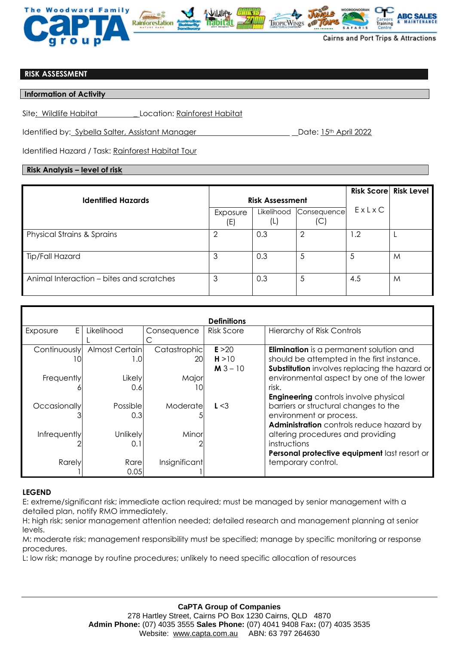

## **RISK ASSESSMENT**

### **Information of Activity**

Site: Wildlife Habitat \_ Location: Rainforest Habitat

Identified by: Sybella Salter, Assistant Manager Date: 15th April 2022

Identified Hazard / Task: Rainforest Habitat Tour

# **Risk Analysis – level of risk**

|                                          |                        |                   |                   |       | <b>Risk Score Risk Level</b> |
|------------------------------------------|------------------------|-------------------|-------------------|-------|------------------------------|
| <b>Identified Hazards</b>                | <b>Risk Assessment</b> |                   |                   |       |                              |
|                                          | Exposure<br>(E)        | Likelihood<br>(L) | Consequence<br>(C | ExLxC |                              |
| <b>Physical Strains &amp; Sprains</b>    |                        | 0.3               | 2                 | 1.2   |                              |
| Tip/Fall Hazard                          | 3                      | 0.3               | 5                 | 5     | M                            |
| Animal Interaction – bites and scratches | 3                      | 0.3               | 5                 | 4.5   | M                            |

| <b>Definitions</b> |                 |               |                   |                                                |  |  |  |  |  |
|--------------------|-----------------|---------------|-------------------|------------------------------------------------|--|--|--|--|--|
| E.<br>Exposure     | Likelihood      | Consequence   | <b>Risk Score</b> | <b>Hierarchy of Risk Controls</b>              |  |  |  |  |  |
|                    |                 |               |                   |                                                |  |  |  |  |  |
| Continuously       | Almost Certain  | Catastrophic  | E > 20            | <b>Elimination</b> is a permanent solution and |  |  |  |  |  |
| 10                 | 1.0             | 201           | H > 10            | should be attempted in the first instance.     |  |  |  |  |  |
|                    |                 |               | $M3 - 10$         | Substitution involves replacing the hazard or  |  |  |  |  |  |
| Frequently         | Likely          | Major         |                   | environmental aspect by one of the lower       |  |  |  |  |  |
|                    | 0.6             | I٥            |                   | risk.                                          |  |  |  |  |  |
|                    |                 |               |                   | <b>Engineering</b> controls involve physical   |  |  |  |  |  |
| Occasionally       | Possiblel       | Moderate      | L < 3             | barriers or structural changes to the          |  |  |  |  |  |
|                    | 0.3             |               |                   | environment or process.                        |  |  |  |  |  |
|                    |                 |               |                   | Administration controls reduce hazard by       |  |  |  |  |  |
| Infrequently       | <b>Unlikely</b> | Minor         |                   | altering procedures and providing              |  |  |  |  |  |
|                    | 0.1             |               |                   | instructions                                   |  |  |  |  |  |
|                    |                 |               |                   | Personal protective equipment last resort or   |  |  |  |  |  |
| Rarely             | Rare            | Insignificant |                   | temporary control.                             |  |  |  |  |  |
|                    | 0.05            |               |                   |                                                |  |  |  |  |  |

## **LEGEND**

E: extreme/significant risk; immediate action required; must be managed by senior management with a detailed plan, notify RMO immediately.

H: high risk; senior management attention needed; detailed research and management planning at senior levels.

M: moderate risk; management responsibility must be specified; manage by specific monitoring or response procedures.

L: low risk; manage by routine procedures; unlikely to need specific allocation of resources